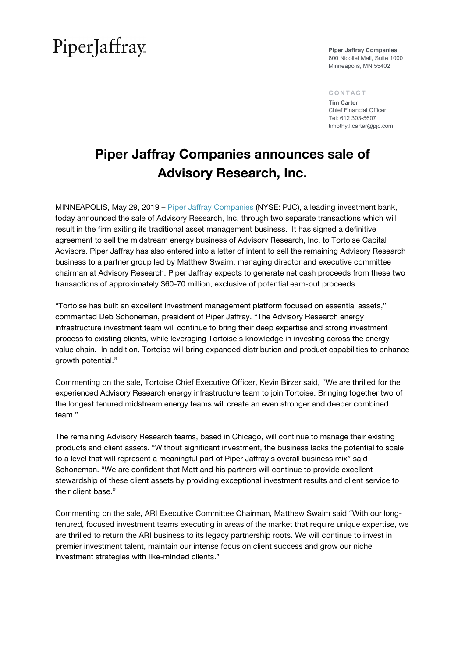## PiperJaffray

**Piper Jaffray Companies** 800 Nicollet Mall, Suite 1000 Minneapolis, MN 55402

#### CONTACT

**Tim Carter** Chief Financial Officer Tel: 612 303-5607 timothy.l.carter@pjc.com

### Piper Jaffray Companies announces sale of Advisory Research, Inc.

MINNEAPOLIS, May 29, 2019 – [Piper Jaffray Companies](http://www.piperjaffray.com/) (NYSE: PJC), a leading investment bank, today announced the sale of Advisory Research, Inc. through two separate transactions which will result in the firm exiting its traditional asset management business. It has signed a definitive agreement to sell the midstream energy business of Advisory Research, Inc. to Tortoise Capital Advisors. Piper Jaffray has also entered into a letter of intent to sell the remaining Advisory Research business to a partner group led by Matthew Swaim, managing director and executive committee chairman at Advisory Research. Piper Jaffray expects to generate net cash proceeds from these two transactions of approximately \$60-70 million, exclusive of potential earn-out proceeds.

"Tortoise has built an excellent investment management platform focused on essential assets," commented Deb Schoneman, president of Piper Jaffray. "The Advisory Research energy infrastructure investment team will continue to bring their deep expertise and strong investment process to existing clients, while leveraging Tortoise's knowledge in investing across the energy value chain. In addition, Tortoise will bring expanded distribution and product capabilities to enhance growth potential."

Commenting on the sale, Tortoise Chief Executive Officer, Kevin Birzer said, "We are thrilled for the experienced Advisory Research energy infrastructure team to join Tortoise. Bringing together two of the longest tenured midstream energy teams will create an even stronger and deeper combined team."

The remaining Advisory Research teams, based in Chicago, will continue to manage their existing products and client assets. "Without significant investment, the business lacks the potential to scale to a level that will represent a meaningful part of Piper Jaffray's overall business mix" said Schoneman. "We are confident that Matt and his partners will continue to provide excellent stewardship of these client assets by providing exceptional investment results and client service to their client base."

Commenting on the sale, ARI Executive Committee Chairman, Matthew Swaim said "With our longtenured, focused investment teams executing in areas of the market that require unique expertise, we are thrilled to return the ARI business to its legacy partnership roots. We will continue to invest in premier investment talent, maintain our intense focus on client success and grow our niche investment strategies with like-minded clients."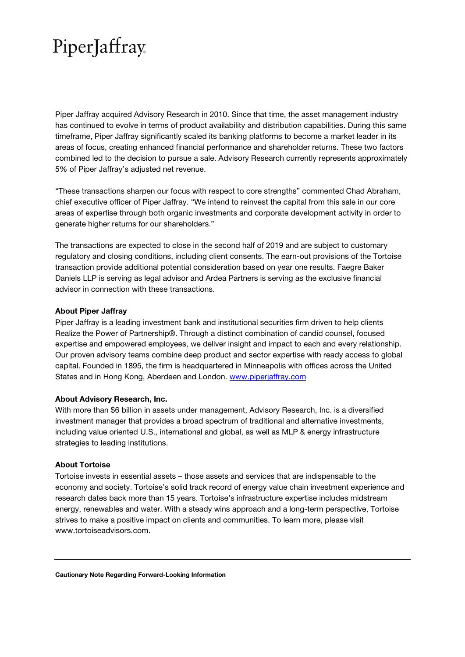# PiperJaffray.

Piper Jaffray acquired Advisory Research in 2010. Since that time, the asset management industry has continued to evolve in terms of product availability and distribution capabilities. During this same timeframe, Piper Jaffray significantly scaled its banking platforms to become a market leader in its areas of focus, creating enhanced financial performance and shareholder returns. These two factors combined led to the decision to pursue a sale. Advisory Research currently represents approximately 5% of Piper Jaffray's adjusted net revenue.

"These transactions sharpen our focus with respect to core strengths" commented Chad Abraham, chief executive officer of Piper Jaffray. "We intend to reinvest the capital from this sale in our core areas of expertise through both organic investments and corporate development activity in order to generate higher returns for our shareholders."

The transactions are expected to close in the second half of 2019 and are subject to customary regulatory and closing conditions, including client consents. The earn-out provisions of the Tortoise transaction provide additional potential consideration based on year one results. Faegre Baker Daniels LLP is serving as legal advisor and Ardea Partners is serving as the exclusive financial advisor in connection with these transactions.

### About Piper Jaffray

Piper Jaffray is a leading investment bank and institutional securities firm driven to help clients Realize the Power of Partnership®. Through a distinct combination of candid counsel, focused expertise and empowered employees, we deliver insight and impact to each and every relationship. Our proven advisory teams combine deep product and sector expertise with ready access to global capital. Founded in 1895, the firm is headquartered in Minneapolis with offices across the United States and in Hong Kong, Aberdeen and London. [www.piperjaffray.com](http://www.piperjaffray.com/)

### About Advisory Research, Inc.

With more than \$6 billion in assets under management, Advisory Research, Inc. is a diversified investment manager that provides a broad spectrum of traditional and alternative investments, including value oriented U.S., international and global, as well as MLP & energy infrastructure strategies to leading institutions.

### About Tortoise

Tortoise invests in essential assets – those assets and services that are indispensable to the economy and society. Tortoise's solid track record of energy value chain investment experience and research dates back more than 15 years. Tortoise's infrastructure expertise includes midstream energy, renewables and water. With a steady wins approach and a long-term perspective, Tortoise strives to make a positive impact on clients and communities. To learn more, please visit www.tortoiseadvisors.com.